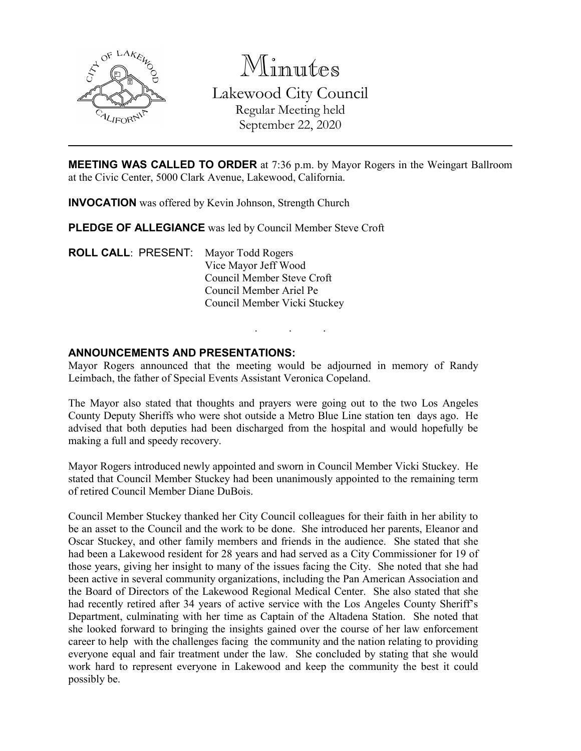

Minutes Lakewood City Council Regular Meeting held September 22, 2020

**MEETING WAS CALLED TO ORDER** at 7:36 p.m. by Mayor Rogers in the Weingart Ballroom at the Civic Center, 5000 Clark Avenue, Lakewood, California.

**INVOCATION** was offered by Kevin Johnson, Strength Church

**PLEDGE OF ALLEGIANCE** was led by Council Member Steve Croft

**ROLL CALL**: PRESENT: Mayor Todd Rogers Vice Mayor Jeff Wood Council Member Steve Croft Council Member Ariel Pe Council Member Vicki Stuckey

## **ANNOUNCEMENTS AND PRESENTATIONS:**

Mayor Rogers announced that the meeting would be adjourned in memory of Randy Leimbach, the father of Special Events Assistant Veronica Copeland.

. . .

The Mayor also stated that thoughts and prayers were going out to the two Los Angeles County Deputy Sheriffs who were shot outside a Metro Blue Line station ten days ago. He advised that both deputies had been discharged from the hospital and would hopefully be making a full and speedy recovery.

Mayor Rogers introduced newly appointed and sworn in Council Member Vicki Stuckey. He stated that Council Member Stuckey had been unanimously appointed to the remaining term of retired Council Member Diane DuBois.

Council Member Stuckey thanked her City Council colleagues for their faith in her ability to be an asset to the Council and the work to be done. She introduced her parents, Eleanor and Oscar Stuckey, and other family members and friends in the audience. She stated that she had been a Lakewood resident for 28 years and had served as a City Commissioner for 19 of those years, giving her insight to many of the issues facing the City. She noted that she had been active in several community organizations, including the Pan American Association and the Board of Directors of the Lakewood Regional Medical Center. She also stated that she had recently retired after 34 years of active service with the Los Angeles County Sheriff's Department, culminating with her time as Captain of the Altadena Station. She noted that she looked forward to bringing the insights gained over the course of her law enforcement career to help with the challenges facing the community and the nation relating to providing everyone equal and fair treatment under the law. She concluded by stating that she would work hard to represent everyone in Lakewood and keep the community the best it could possibly be.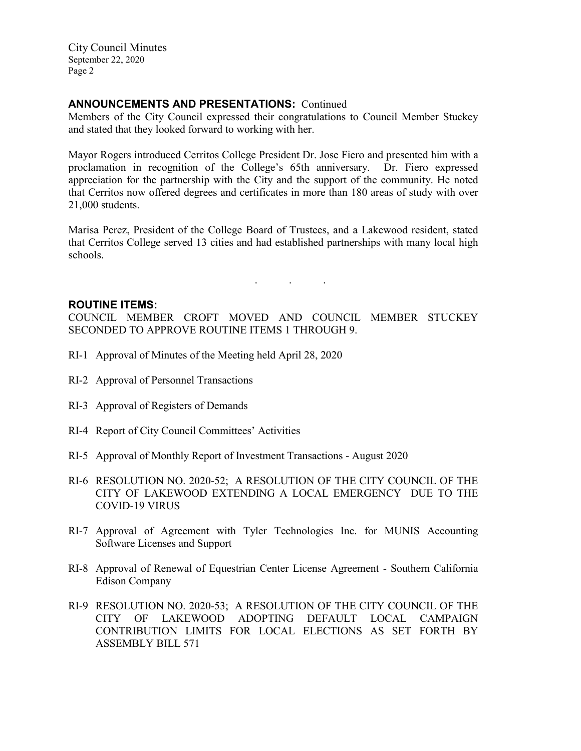# **ANNOUNCEMENTS AND PRESENTATIONS:** Continued

Members of the City Council expressed their congratulations to Council Member Stuckey and stated that they looked forward to working with her.

Mayor Rogers introduced Cerritos College President Dr. Jose Fiero and presented him with a proclamation in recognition of the College's 65th anniversary. Dr. Fiero expressed appreciation for the partnership with the City and the support of the community. He noted that Cerritos now offered degrees and certificates in more than 180 areas of study with over 21,000 students.

Marisa Perez, President of the College Board of Trustees, and a Lakewood resident, stated that Cerritos College served 13 cities and had established partnerships with many local high schools.

. . .

## **ROUTINE ITEMS:**

COUNCIL MEMBER CROFT MOVED AND COUNCIL MEMBER STUCKEY SECONDED TO APPROVE ROUTINE ITEMS 1 THROUGH 9.

- RI-1 Approval of Minutes of the Meeting held April 28, 2020
- RI-2 Approval of Personnel Transactions
- RI-3 Approval of Registers of Demands
- RI-4 Report of City Council Committees' Activities
- RI-5 Approval of Monthly Report of Investment Transactions August 2020
- RI-6 RESOLUTION NO. 2020-52; A RESOLUTION OF THE CITY COUNCIL OF THE CITY OF LAKEWOOD EXTENDING A LOCAL EMERGENCY DUE TO THE COVID-19 VIRUS
- RI-7 Approval of Agreement with Tyler Technologies Inc. for MUNIS Accounting Software Licenses and Support
- RI-8 Approval of Renewal of Equestrian Center License Agreement Southern California Edison Company
- RI-9 RESOLUTION NO. 2020-53; A RESOLUTION OF THE CITY COUNCIL OF THE CITY OF LAKEWOOD ADOPTING DEFAULT LOCAL CAMPAIGN CONTRIBUTION LIMITS FOR LOCAL ELECTIONS AS SET FORTH BY ASSEMBLY BILL 571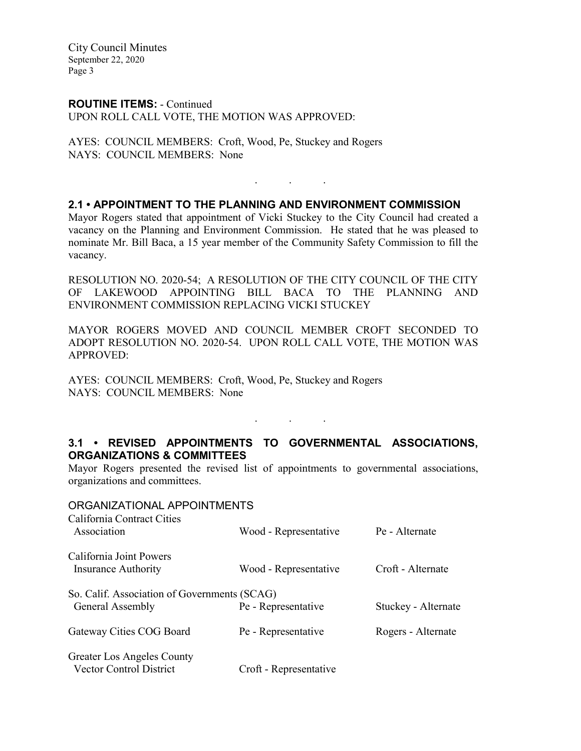**ROUTINE ITEMS:** - Continued UPON ROLL CALL VOTE, THE MOTION WAS APPROVED:

AYES: COUNCIL MEMBERS: Croft, Wood, Pe, Stuckey and Rogers NAYS: COUNCIL MEMBERS: None

# **2.1 • APPOINTMENT TO THE PLANNING AND ENVIRONMENT COMMISSION**

Mayor Rogers stated that appointment of Vicki Stuckey to the City Council had created a vacancy on the Planning and Environment Commission. He stated that he was pleased to nominate Mr. Bill Baca, a 15 year member of the Community Safety Commission to fill the vacancy.

. . .

RESOLUTION NO. 2020-54; A RESOLUTION OF THE CITY COUNCIL OF THE CITY OF LAKEWOOD APPOINTING BILL BACA TO THE PLANNING AND ENVIRONMENT COMMISSION REPLACING VICKI STUCKEY

MAYOR ROGERS MOVED AND COUNCIL MEMBER CROFT SECONDED TO ADOPT RESOLUTION NO. 2020-54. UPON ROLL CALL VOTE, THE MOTION WAS APPROVED:

AYES: COUNCIL MEMBERS: Croft, Wood, Pe, Stuckey and Rogers NAYS: COUNCIL MEMBERS: None

# **3.1 • REVISED APPOINTMENTS TO GOVERNMENTAL ASSOCIATIONS, ORGANIZATIONS & COMMITTEES**

. . .

Mayor Rogers presented the revised list of appointments to governmental associations, organizations and committees.

# ORGANIZATIONAL APPOINTMENTS California Contract Cities Association Wood - Representative Pe - Alternate California Joint Powers Insurance Authority Wood - Representative Croft - Alternate So. Calif. Association of Governments (SCAG) General Assembly Pe - Representative Stuckey - Alternate Gateway Cities COG Board Pe - Representative Rogers - Alternate

| <b>Greater Los Angeles County</b> |                        |  |
|-----------------------------------|------------------------|--|
| Vector Control District           | Croft - Representative |  |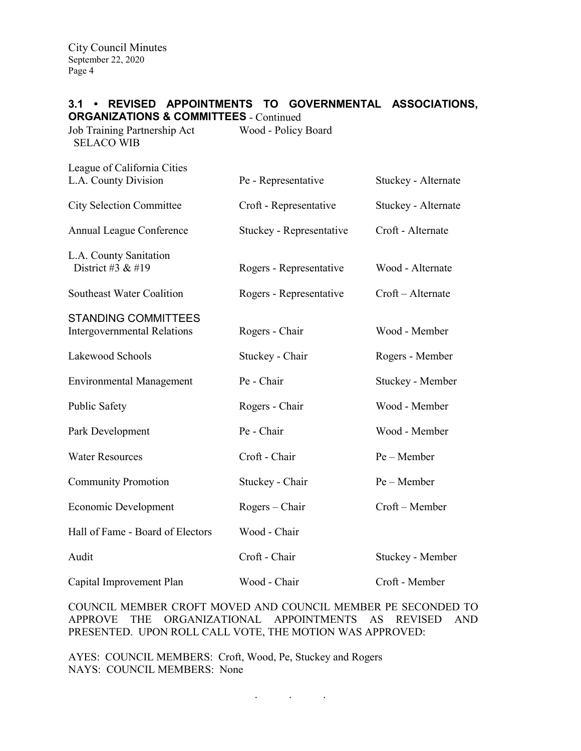# **3.1 • REVISED APPOINTMENTS TO GOVERNMENTAL ASSOCIATIONS,**

| <b>ORGANIZATIONS &amp; COMMITTEES</b> - Continued                |                          |                     |
|------------------------------------------------------------------|--------------------------|---------------------|
| Job Training Partnership Act<br><b>SELACO WIB</b>                | Wood - Policy Board      |                     |
| League of California Cities                                      |                          |                     |
| L.A. County Division                                             | Pe - Representative      | Stuckey - Alternate |
| <b>City Selection Committee</b>                                  | Croft - Representative   | Stuckey - Alternate |
| Annual League Conference                                         | Stuckey - Representative | Croft - Alternate   |
| L.A. County Sanitation<br>District #3 & #19                      | Rogers - Representative  | Wood - Alternate    |
| Southeast Water Coalition                                        | Rogers - Representative  | Croft - Alternate   |
| <b>STANDING COMMITTEES</b><br><b>Intergovernmental Relations</b> | Rogers - Chair           | Wood - Member       |
| Lakewood Schools                                                 | Stuckey - Chair          | Rogers - Member     |
| <b>Environmental Management</b>                                  | Pe - Chair               | Stuckey - Member    |
| Public Safety                                                    | Rogers - Chair           | Wood - Member       |
| Park Development                                                 | Pe - Chair               | Wood - Member       |
| <b>Water Resources</b>                                           | Croft - Chair            | Pe - Member         |
| <b>Community Promotion</b>                                       | Stuckey - Chair          | Pe – Member         |
| Economic Development                                             | $Rogers - Chair$         | Croft - Member      |
| Hall of Fame - Board of Electors                                 | Wood - Chair             |                     |
| Audit                                                            | Croft - Chair            | Stuckey - Member    |
| Capital Improvement Plan                                         | Wood - Chair             | Croft - Member      |

COUNCIL MEMBER CROFT MOVED AND COUNCIL MEMBER PE SECONDED TO APPROVE THE ORGANIZATIONAL APPOINTMENTS AS REVISED AND PRESENTED. UPON ROLL CALL VOTE, THE MOTION WAS APPROVED:

AYES: COUNCIL MEMBERS: Croft, Wood, Pe, Stuckey and Rogers NAYS: COUNCIL MEMBERS: None

 $\mathbf{r}$  .  $\mathbf{r}$  ,  $\mathbf{r}$  ,  $\mathbf{r}$  ,  $\mathbf{r}$  ,  $\mathbf{r}$  ,  $\mathbf{r}$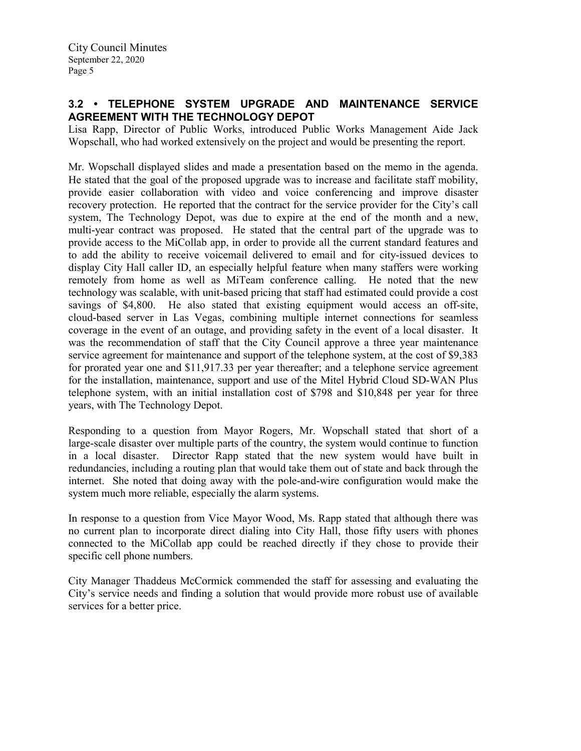# **3.2 • TELEPHONE SYSTEM UPGRADE AND MAINTENANCE SERVICE AGREEMENT WITH THE TECHNOLOGY DEPOT**

Lisa Rapp, Director of Public Works, introduced Public Works Management Aide Jack Wopschall, who had worked extensively on the project and would be presenting the report.

Mr. Wopschall displayed slides and made a presentation based on the memo in the agenda. He stated that the goal of the proposed upgrade was to increase and facilitate staff mobility, provide easier collaboration with video and voice conferencing and improve disaster recovery protection. He reported that the contract for the service provider for the City's call system, The Technology Depot, was due to expire at the end of the month and a new, multi-year contract was proposed. He stated that the central part of the upgrade was to provide access to the MiCollab app, in order to provide all the current standard features and to add the ability to receive voicemail delivered to email and for city-issued devices to display City Hall caller ID, an especially helpful feature when many staffers were working remotely from home as well as MiTeam conference calling. He noted that the new technology was scalable, with unit-based pricing that staff had estimated could provide a cost savings of \$4,800. He also stated that existing equipment would access an off-site, cloud-based server in Las Vegas, combining multiple internet connections for seamless coverage in the event of an outage, and providing safety in the event of a local disaster. It was the recommendation of staff that the City Council approve a three year maintenance service agreement for maintenance and support of the telephone system, at the cost of \$9,383 for prorated year one and \$11,917.33 per year thereafter; and a telephone service agreement for the installation, maintenance, support and use of the Mitel Hybrid Cloud SD-WAN Plus telephone system, with an initial installation cost of \$798 and \$10,848 per year for three years, with The Technology Depot.

Responding to a question from Mayor Rogers, Mr. Wopschall stated that short of a large-scale disaster over multiple parts of the country, the system would continue to function in a local disaster. Director Rapp stated that the new system would have built in redundancies, including a routing plan that would take them out of state and back through the internet. She noted that doing away with the pole-and-wire configuration would make the system much more reliable, especially the alarm systems.

In response to a question from Vice Mayor Wood, Ms. Rapp stated that although there was no current plan to incorporate direct dialing into City Hall, those fifty users with phones connected to the MiCollab app could be reached directly if they chose to provide their specific cell phone numbers.

City Manager Thaddeus McCormick commended the staff for assessing and evaluating the City's service needs and finding a solution that would provide more robust use of available services for a better price.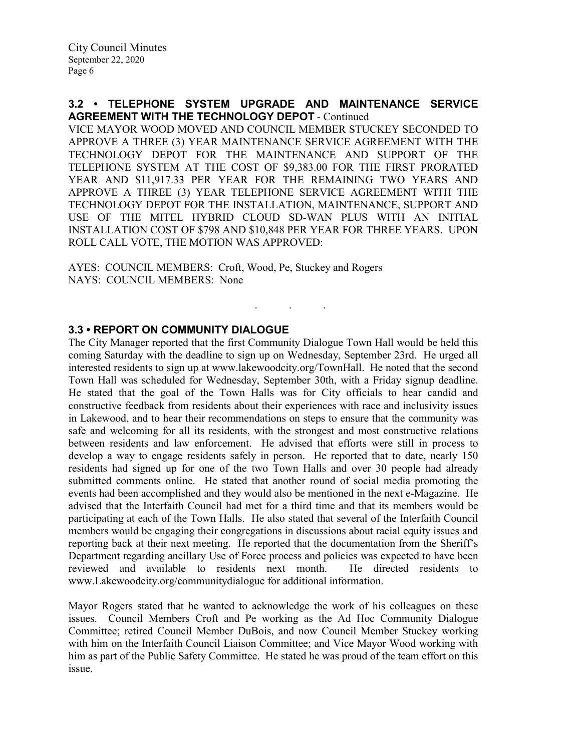## **3.2 • TELEPHONE SYSTEM UPGRADE AND MAINTENANCE SERVICE AGREEMENT WITH THE TECHNOLOGY DEPOT** - Continued

VICE MAYOR WOOD MOVED AND COUNCIL MEMBER STUCKEY SECONDED TO APPROVE A THREE (3) YEAR MAINTENANCE SERVICE AGREEMENT WITH THE TECHNOLOGY DEPOT FOR THE MAINTENANCE AND SUPPORT OF THE TELEPHONE SYSTEM AT THE COST OF \$9,383.00 FOR THE FIRST PRORATED YEAR AND \$11,917.33 PER YEAR FOR THE REMAINING TWO YEARS AND APPROVE A THREE (3) YEAR TELEPHONE SERVICE AGREEMENT WITH THE TECHNOLOGY DEPOT FOR THE INSTALLATION, MAINTENANCE, SUPPORT AND USE OF THE MITEL HYBRID CLOUD SD-WAN PLUS WITH AN INITIAL INSTALLATION COST OF \$798 AND \$10,848 PER YEAR FOR THREE YEARS. UPON ROLL CALL VOTE, THE MOTION WAS APPROVED:

. . .

AYES: COUNCIL MEMBERS: Croft, Wood, Pe, Stuckey and Rogers NAYS: COUNCIL MEMBERS: None

# **3.3 • REPORT ON COMMUNITY DIALOGUE**

The City Manager reported that the first Community Dialogue Town Hall would be held this coming Saturday with the deadline to sign up on Wednesday, September 23rd. He urged all interested residents to sign up at www.lakewoodcity.org/TownHall. He noted that the second Town Hall was scheduled for Wednesday, September 30th, with a Friday signup deadline. He stated that the goal of the Town Halls was for City officials to hear candid and constructive feedback from residents about their experiences with race and inclusivity issues in Lakewood, and to hear their recommendations on steps to ensure that the community was safe and welcoming for all its residents, with the strongest and most constructive relations between residents and law enforcement. He advised that efforts were still in process to develop a way to engage residents safely in person. He reported that to date, nearly 150 residents had signed up for one of the two Town Halls and over 30 people had already submitted comments online. He stated that another round of social media promoting the events had been accomplished and they would also be mentioned in the next e-Magazine. He advised that the Interfaith Council had met for a third time and that its members would be participating at each of the Town Halls. He also stated that several of the Interfaith Council members would be engaging their congregations in discussions about racial equity issues and reporting back at their next meeting. He reported that the documentation from the Sheriff's Department regarding ancillary Use of Force process and policies was expected to have been reviewed and available to residents next month. He directed residents to www.Lakewoodcity.org/communitydialogue for additional information.

Mayor Rogers stated that he wanted to acknowledge the work of his colleagues on these issues. Council Members Croft and Pe working as the Ad Hoc Community Dialogue Committee; retired Council Member DuBois, and now Council Member Stuckey working with him on the Interfaith Council Liaison Committee; and Vice Mayor Wood working with him as part of the Public Safety Committee. He stated he was proud of the team effort on this issue.